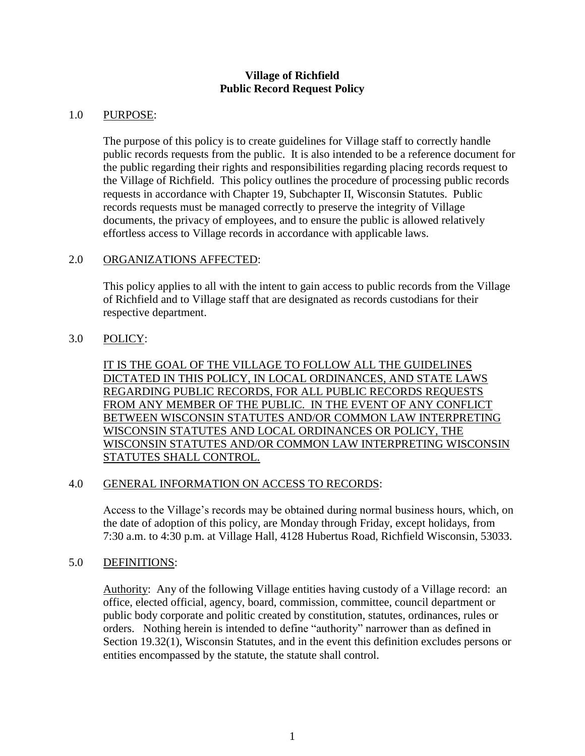### **Village of Richfield Public Record Request Policy**

### 1.0 PURPOSE:

The purpose of this policy is to create guidelines for Village staff to correctly handle public records requests from the public. It is also intended to be a reference document for the public regarding their rights and responsibilities regarding placing records request to the Village of Richfield. This policy outlines the procedure of processing public records requests in accordance with Chapter 19, Subchapter II, Wisconsin Statutes. Public records requests must be managed correctly to preserve the integrity of Village documents, the privacy of employees, and to ensure the public is allowed relatively effortless access to Village records in accordance with applicable laws.

# 2.0 ORGANIZATIONS AFFECTED:

This policy applies to all with the intent to gain access to public records from the Village of Richfield and to Village staff that are designated as records custodians for their respective department.

# 3.0 POLICY:

IT IS THE GOAL OF THE VILLAGE TO FOLLOW ALL THE GUIDELINES DICTATED IN THIS POLICY, IN LOCAL ORDINANCES, AND STATE LAWS REGARDING PUBLIC RECORDS, FOR ALL PUBLIC RECORDS REQUESTS FROM ANY MEMBER OF THE PUBLIC. IN THE EVENT OF ANY CONFLICT BETWEEN WISCONSIN STATUTES AND/OR COMMON LAW INTERPRETING WISCONSIN STATUTES AND LOCAL ORDINANCES OR POLICY, THE WISCONSIN STATUTES AND/OR COMMON LAW INTERPRETING WISCONSIN STATUTES SHALL CONTROL.

### 4.0 GENERAL INFORMATION ON ACCESS TO RECORDS:

Access to the Village's records may be obtained during normal business hours, which, on the date of adoption of this policy, are Monday through Friday, except holidays, from 7:30 a.m. to 4:30 p.m. at Village Hall, 4128 Hubertus Road, Richfield Wisconsin, 53033.

### 5.0 DEFINITIONS:

Authority: Any of the following Village entities having custody of a Village record: an office, elected official, agency, board, commission, committee, council department or public body corporate and politic created by constitution, statutes, ordinances, rules or orders. Nothing herein is intended to define "authority" narrower than as defined in Section 19.32(1), Wisconsin Statutes, and in the event this definition excludes persons or entities encompassed by the statute, the statute shall control.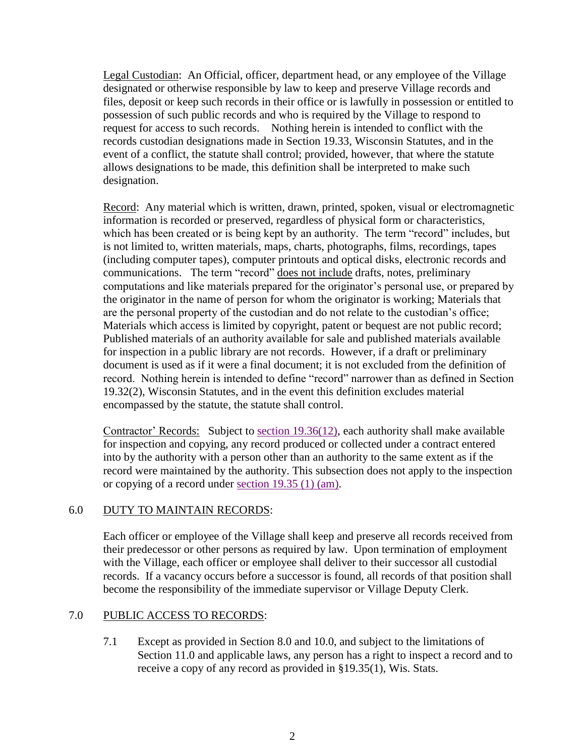Legal Custodian: An Official, officer, department head, or any employee of the Village designated or otherwise responsible by law to keep and preserve Village records and files, deposit or keep such records in their office or is lawfully in possession or entitled to possession of such public records and who is required by the Village to respond to request for access to such records. Nothing herein is intended to conflict with the records custodian designations made in Section 19.33, Wisconsin Statutes, and in the event of a conflict, the statute shall control; provided, however, that where the statute allows designations to be made, this definition shall be interpreted to make such designation.

Record: Any material which is written, drawn, printed, spoken, visual or electromagnetic information is recorded or preserved, regardless of physical form or characteristics, which has been created or is being kept by an authority. The term "record" includes, but is not limited to, written materials, maps, charts, photographs, films, recordings, tapes (including computer tapes), computer printouts and optical disks, electronic records and communications. The term "record" does not include drafts, notes, preliminary computations and like materials prepared for the originator's personal use, or prepared by the originator in the name of person for whom the originator is working; Materials that are the personal property of the custodian and do not relate to the custodian's office; Materials which access is limited by copyright, patent or bequest are not public record; Published materials of an authority available for sale and published materials available for inspection in a public library are not records. However, if a draft or preliminary document is used as if it were a final document; it is not excluded from the definition of record. Nothing herein is intended to define "record" narrower than as defined in Section 19.32(2), Wisconsin Statutes, and in the event this definition excludes material encompassed by the statute, the statute shall control.

Contractor' Records: Subject to [section 19.36\(12\),](http://nxt.legis.state.wi.us/nxt/gateway.dll?f=xhitlist$xhitlist_x=Advanced$xhitlist_vpc=first$xhitlist_xsl=querylink.xsl$xhitlist_sel=title;path;content-type;home-title$xhitlist_d=%257Bstats%257D$xhitlist_q=%255Bfield%20folio-destination-name:) each authority shall make available for inspection and copying, any record produced or collected under a contract entered into by the authority with a person other than an authority to the same extent as if the record were maintained by the authority. This subsection does not apply to the inspection or copying of a record under section [19.35 \(1\) \(am\).](http://nxt.legis.state.wi.us/nxt/gateway.dll?f=xhitlist$xhitlist_x=Advanced$xhitlist_vpc=first$xhitlist_xsl=querylink.xsl$xhitlist_sel=title;path;content-type;home-title$xhitlist_d=%257Bstats%257D$xhitlist_q=%255Bfield%20folio-destination-name:)

### 6.0 DUTY TO MAINTAIN RECORDS:

Each officer or employee of the Village shall keep and preserve all records received from their predecessor or other persons as required by law. Upon termination of employment with the Village, each officer or employee shall deliver to their successor all custodial records. If a vacancy occurs before a successor is found, all records of that position shall become the responsibility of the immediate supervisor or Village Deputy Clerk.

### 7.0 PUBLIC ACCESS TO RECORDS:

7.1 Except as provided in Section 8.0 and 10.0, and subject to the limitations of Section 11.0 and applicable laws, any person has a right to inspect a record and to receive a copy of any record as provided in §19.35(1), Wis. Stats.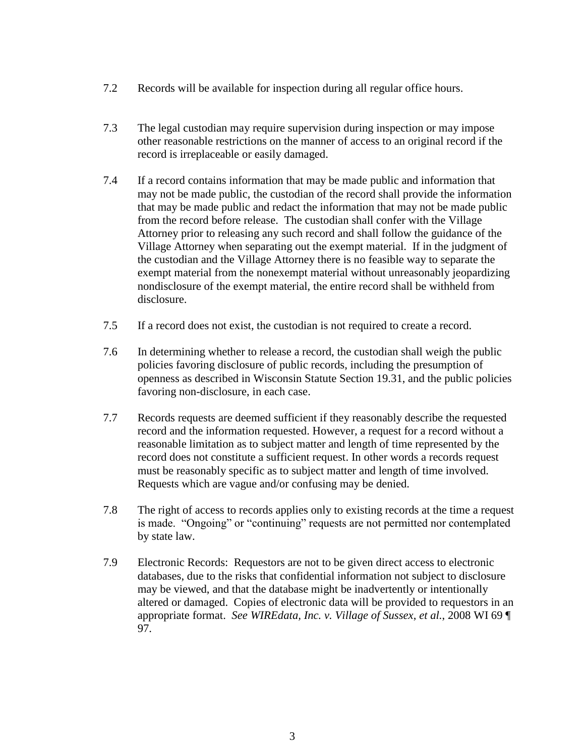- 7.2 Records will be available for inspection during all regular office hours.
- 7.3 The legal custodian may require supervision during inspection or may impose other reasonable restrictions on the manner of access to an original record if the record is irreplaceable or easily damaged.
- 7.4 If a record contains information that may be made public and information that may not be made public, the custodian of the record shall provide the information that may be made public and redact the information that may not be made public from the record before release. The custodian shall confer with the Village Attorney prior to releasing any such record and shall follow the guidance of the Village Attorney when separating out the exempt material. If in the judgment of the custodian and the Village Attorney there is no feasible way to separate the exempt material from the nonexempt material without unreasonably jeopardizing nondisclosure of the exempt material, the entire record shall be withheld from disclosure.
- 7.5 If a record does not exist, the custodian is not required to create a record.
- 7.6 In determining whether to release a record, the custodian shall weigh the public policies favoring disclosure of public records, including the presumption of openness as described in Wisconsin Statute Section 19.31, and the public policies favoring non-disclosure, in each case.
- 7.7 Records requests are deemed sufficient if they reasonably describe the requested record and the information requested. However, a request for a record without a reasonable limitation as to subject matter and length of time represented by the record does not constitute a sufficient request. In other words a records request must be reasonably specific as to subject matter and length of time involved. Requests which are vague and/or confusing may be denied.
- 7.8 The right of access to records applies only to existing records at the time a request is made. "Ongoing" or "continuing" requests are not permitted nor contemplated by state law.
- 7.9 Electronic Records: Requestors are not to be given direct access to electronic databases, due to the risks that confidential information not subject to disclosure may be viewed, and that the database might be inadvertently or intentionally altered or damaged. Copies of electronic data will be provided to requestors in an appropriate format. *See WIREdata, Inc. v. Village of Sussex*, *et al.*, 2008 WI 69 ¶ 97.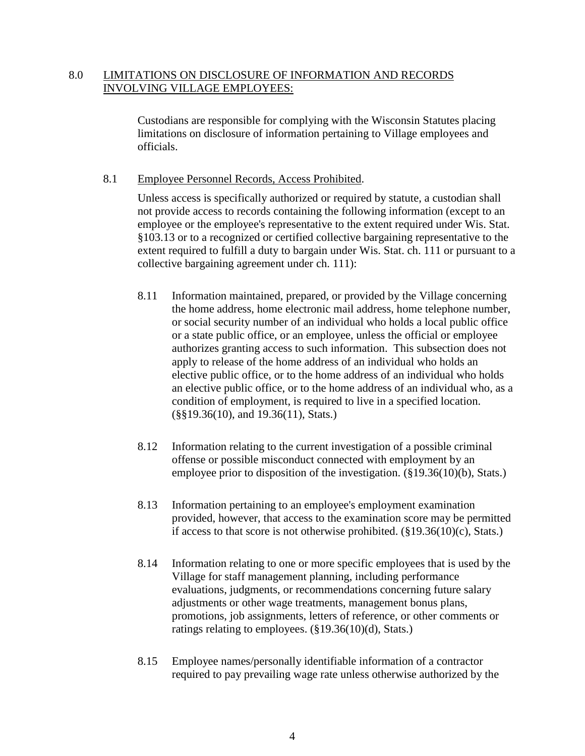# 8.0 LIMITATIONS ON DISCLOSURE OF INFORMATION AND RECORDS INVOLVING VILLAGE EMPLOYEES:

Custodians are responsible for complying with the Wisconsin Statutes placing limitations on disclosure of information pertaining to Village employees and officials.

### 8.1 Employee Personnel Records, Access Prohibited.

Unless access is specifically authorized or required by statute, a custodian shall not provide access to records containing the following information (except to an employee or the employee's representative to the extent required under Wis. Stat. §103.13 or to a recognized or certified collective bargaining representative to the extent required to fulfill a duty to bargain under Wis. Stat. ch. 111 or pursuant to a collective bargaining agreement under ch. 111):

- 8.11 Information maintained, prepared, or provided by the Village concerning the home address, home electronic mail address, home telephone number, or social security number of an individual who holds a local public office or a state public office, or an employee, unless the official or employee authorizes granting access to such information. This subsection does not apply to release of the home address of an individual who holds an elective public office, or to the home address of an individual who holds an elective public office, or to the home address of an individual who, as a condition of employment, is required to live in a specified location. (§§19.36(10), and 19.36(11), Stats.)
- 8.12 Information relating to the current investigation of a possible criminal offense or possible misconduct connected with employment by an employee prior to disposition of the investigation. (§19.36(10)(b), Stats.)
- 8.13 Information pertaining to an employee's employment examination provided, however, that access to the examination score may be permitted if access to that score is not otherwise prohibited.  $(\S19.36(10)(c),$  Stats.)
- 8.14 Information relating to one or more specific employees that is used by the Village for staff management planning, including performance evaluations, judgments, or recommendations concerning future salary adjustments or other wage treatments, management bonus plans, promotions, job assignments, letters of reference, or other comments or ratings relating to employees. (§19.36(10)(d), Stats.)
- 8.15 Employee names/personally identifiable information of a contractor required to pay prevailing wage rate unless otherwise authorized by the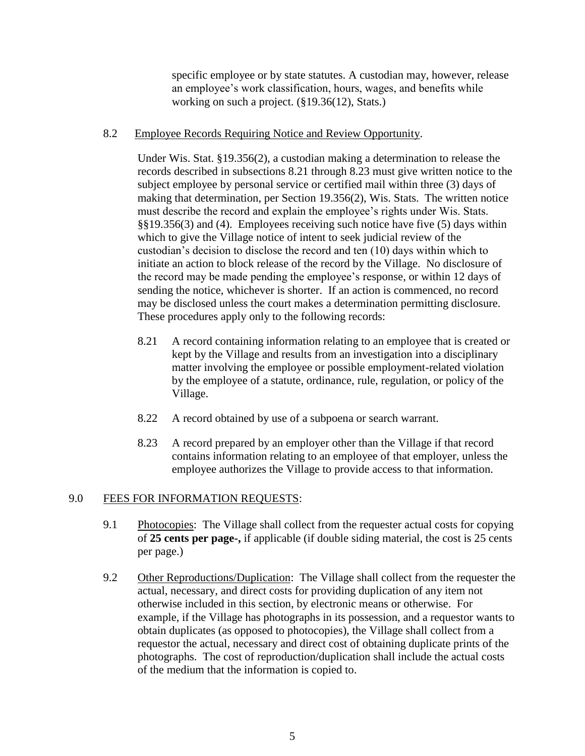specific employee or by state statutes. A custodian may, however, release an employee's work classification, hours, wages, and benefits while working on such a project. (§19.36(12), Stats.)

#### 8.2 Employee Records Requiring Notice and Review Opportunity.

Under Wis. Stat. §19.356(2), a custodian making a determination to release the records described in subsections 8.21 through 8.23 must give written notice to the subject employee by personal service or certified mail within three (3) days of making that determination, per Section 19.356(2), Wis. Stats. The written notice must describe the record and explain the employee's rights under Wis. Stats. §§19.356(3) and (4). Employees receiving such notice have five (5) days within which to give the Village notice of intent to seek judicial review of the custodian's decision to disclose the record and ten (10) days within which to initiate an action to block release of the record by the Village. No disclosure of the record may be made pending the employee's response, or within 12 days of sending the notice, whichever is shorter. If an action is commenced, no record may be disclosed unless the court makes a determination permitting disclosure. These procedures apply only to the following records:

- 8.21 A record containing information relating to an employee that is created or kept by the Village and results from an investigation into a disciplinary matter involving the employee or possible employment-related violation by the employee of a statute, ordinance, rule, regulation, or policy of the Village.
- 8.22 A record obtained by use of a subpoena or search warrant.
- 8.23 A record prepared by an employer other than the Village if that record contains information relating to an employee of that employer, unless the employee authorizes the Village to provide access to that information.

### 9.0 FEES FOR INFORMATION REQUESTS:

- 9.1 Photocopies: The Village shall collect from the requester actual costs for copying of **25 cents per page-,** if applicable (if double siding material, the cost is 25 cents per page.)
- 9.2 Other Reproductions/Duplication: The Village shall collect from the requester the actual, necessary, and direct costs for providing duplication of any item not otherwise included in this section, by electronic means or otherwise. For example, if the Village has photographs in its possession, and a requestor wants to obtain duplicates (as opposed to photocopies), the Village shall collect from a requestor the actual, necessary and direct cost of obtaining duplicate prints of the photographs. The cost of reproduction/duplication shall include the actual costs of the medium that the information is copied to.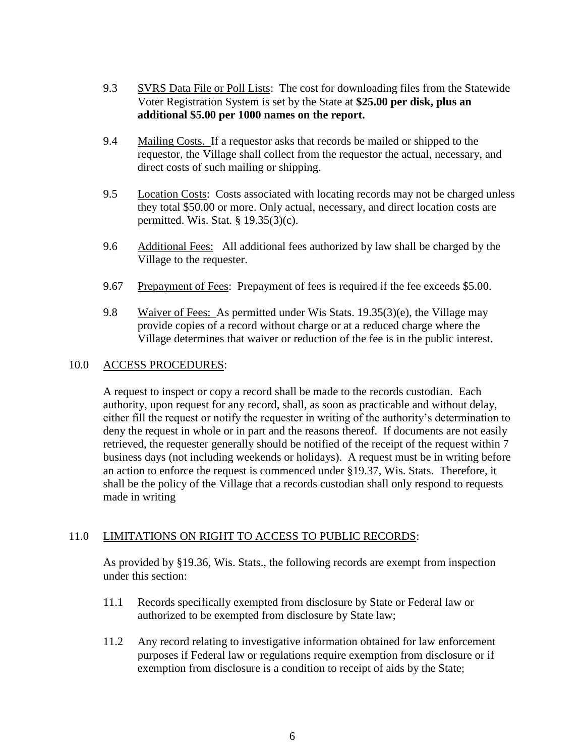- 9.3 SVRS Data File or Poll Lists: The cost for downloading files from the Statewide Voter Registration System is set by the State at **\$25.00 per disk, plus an additional \$5.00 per 1000 names on the report.**
- 9.4 Mailing Costs. If a requestor asks that records be mailed or shipped to the requestor, the Village shall collect from the requestor the actual, necessary, and direct costs of such mailing or shipping.
- 9.5 Location Costs: Costs associated with locating records may not be charged unless they total \$50.00 or more. Only actual, necessary, and direct location costs are permitted. Wis. Stat. § 19.35(3)(c).
- 9.6 Additional Fees: All additional fees authorized by law shall be charged by the Village to the requester.
- 9.67 Prepayment of Fees: Prepayment of fees is required if the fee exceeds \$5.00.
- 9.8 Waiver of Fees: As permitted under Wis Stats. 19.35(3)(e), the Village may provide copies of a record without charge or at a reduced charge where the Village determines that waiver or reduction of the fee is in the public interest.

### 10.0 ACCESS PROCEDURES:

A request to inspect or copy a record shall be made to the records custodian. Each authority, upon request for any record, shall, as soon as practicable and without delay, either fill the request or notify the requester in writing of the authority's determination to deny the request in whole or in part and the reasons thereof. If documents are not easily retrieved, the requester generally should be notified of the receipt of the request within 7 business days (not including weekends or holidays). A request must be in writing before an action to enforce the request is commenced under §19.37, Wis. Stats. Therefore, it shall be the policy of the Village that a records custodian shall only respond to requests made in writing

# 11.0 LIMITATIONS ON RIGHT TO ACCESS TO PUBLIC RECORDS:

As provided by §19.36, Wis. Stats., the following records are exempt from inspection under this section:

- 11.1 Records specifically exempted from disclosure by State or Federal law or authorized to be exempted from disclosure by State law;
- 11.2 Any record relating to investigative information obtained for law enforcement purposes if Federal law or regulations require exemption from disclosure or if exemption from disclosure is a condition to receipt of aids by the State;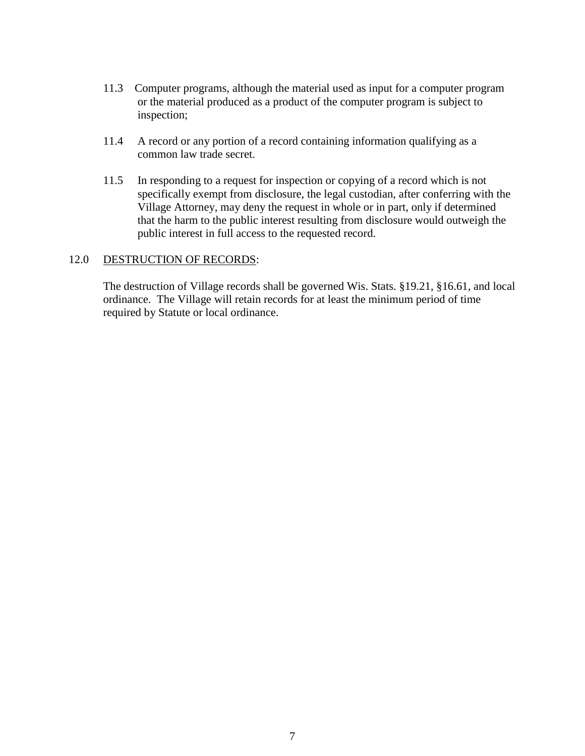- 11.3 Computer programs, although the material used as input for a computer program or the material produced as a product of the computer program is subject to inspection;
- 11.4 A record or any portion of a record containing information qualifying as a common law trade secret.
- 11.5 In responding to a request for inspection or copying of a record which is not specifically exempt from disclosure, the legal custodian, after conferring with the Village Attorney, may deny the request in whole or in part, only if determined that the harm to the public interest resulting from disclosure would outweigh the public interest in full access to the requested record.

### 12.0 DESTRUCTION OF RECORDS:

The destruction of Village records shall be governed Wis. Stats. §19.21, §16.61, and local ordinance. The Village will retain records for at least the minimum period of time required by Statute or local ordinance.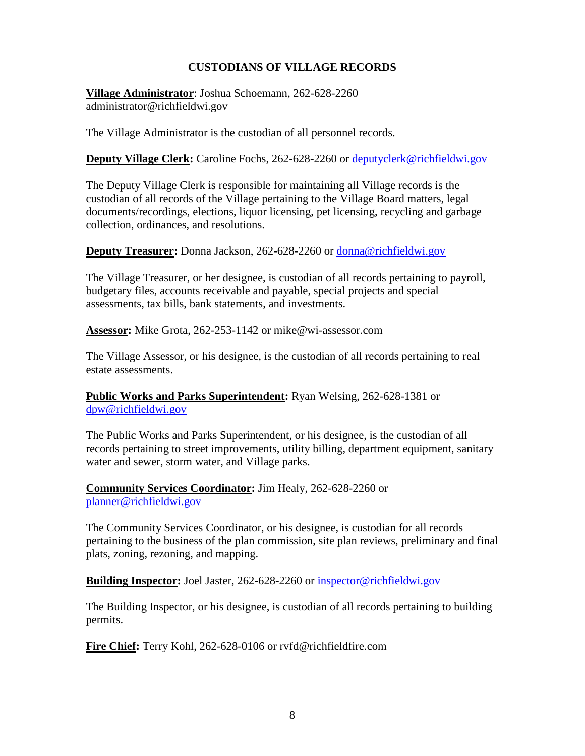# **CUSTODIANS OF VILLAGE RECORDS**

**Village Administrator**: Joshua Schoemann, 262-628-2260 administrator@richfieldwi.gov

The Village Administrator is the custodian of all personnel records.

**Deputy Village Clerk:** Caroline Fochs, 262-628-2260 or [deputyclerk@richfieldwi.gov](mailto:deputyclerk@richfieldwi.gov)

The Deputy Village Clerk is responsible for maintaining all Village records is the custodian of all records of the Village pertaining to the Village Board matters, legal documents/recordings, elections, liquor licensing, pet licensing, recycling and garbage collection, ordinances, and resolutions.

**Deputy Treasurer:** Donna Jackson, 262-628-2260 or [donna@richfieldwi.gov](mailto:donna@richfieldwi.gov)

The Village Treasurer, or her designee, is custodian of all records pertaining to payroll, budgetary files, accounts receivable and payable, special projects and special assessments, tax bills, bank statements, and investments.

**Assessor:** Mike Grota, 262-253-1142 or mike@wi-assessor.com

The Village Assessor, or his designee, is the custodian of all records pertaining to real estate assessments.

**Public Works and Parks Superintendent:** Ryan Welsing, 262-628-1381 or [dpw@richfieldwi.gov](mailto:dpw@richfieldwi.gov)

The Public Works and Parks Superintendent, or his designee, is the custodian of all records pertaining to street improvements, utility billing, department equipment, sanitary water and sewer, storm water, and Village parks.

**Community Services Coordinator:** Jim Healy, 262-628-2260 or [planner@richfieldwi.gov](mailto:planner@richfieldwi.gov)

The Community Services Coordinator, or his designee, is custodian for all records pertaining to the business of the plan commission, site plan reviews, preliminary and final plats, zoning, rezoning, and mapping.

**Building Inspector:** Joel Jaster, 262-628-2260 or [inspector@richfieldwi.gov](mailto:inspector@richfieldwi.gov)

The Building Inspector, or his designee, is custodian of all records pertaining to building permits.

**Fire Chief:** Terry Kohl, 262-628-0106 or rvfd@richfieldfire.com